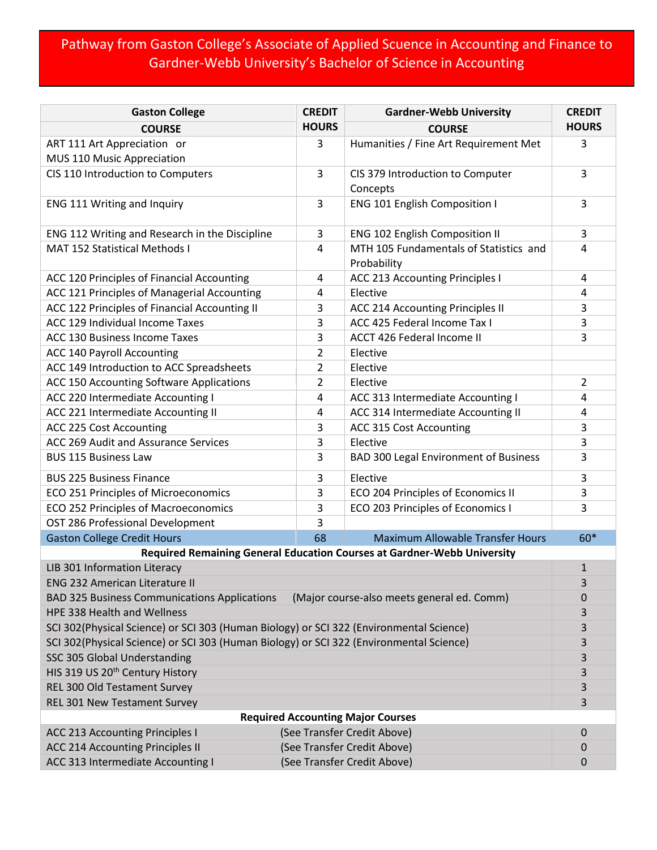## Pathway from Gaston College's Associate of Applied Scuence in Accounting and Finance to Gardner-Webb University's Bachelor of Science in Accounting

| <b>Gaston College</b>                                                                             | <b>CREDIT</b> | <b>Gardner-Webb University</b>                             |              |  |  |  |  |
|---------------------------------------------------------------------------------------------------|---------------|------------------------------------------------------------|--------------|--|--|--|--|
| <b>COURSE</b>                                                                                     | <b>HOURS</b>  | <b>COURSE</b>                                              | <b>HOURS</b> |  |  |  |  |
| ART 111 Art Appreciation or                                                                       | 3             | Humanities / Fine Art Requirement Met                      | 3            |  |  |  |  |
| MUS 110 Music Appreciation                                                                        |               |                                                            |              |  |  |  |  |
| CIS 110 Introduction to Computers                                                                 | 3             | CIS 379 Introduction to Computer                           | 3            |  |  |  |  |
|                                                                                                   |               | Concepts                                                   |              |  |  |  |  |
| ENG 111 Writing and Inquiry                                                                       | 3             | ENG 101 English Composition I                              | 3            |  |  |  |  |
| ENG 112 Writing and Research in the Discipline                                                    | 3             | <b>ENG 102 English Composition II</b>                      | 3            |  |  |  |  |
| <b>MAT 152 Statistical Methods I</b>                                                              | 4             | MTH 105 Fundamentals of Statistics and<br>Probability      | 4            |  |  |  |  |
| ACC 120 Principles of Financial Accounting                                                        | 4             | ACC 213 Accounting Principles I                            | 4            |  |  |  |  |
| ACC 121 Principles of Managerial Accounting                                                       | 4             | Elective                                                   | 4            |  |  |  |  |
| ACC 122 Principles of Financial Accounting II                                                     | 3             | ACC 214 Accounting Principles II                           | 3            |  |  |  |  |
| ACC 129 Individual Income Taxes                                                                   | 3             | ACC 425 Federal Income Tax I                               | 3            |  |  |  |  |
| ACC 130 Business Income Taxes                                                                     | 3             | ACCT 426 Federal Income II                                 | 3            |  |  |  |  |
| ACC 140 Payroll Accounting                                                                        | 2             | Elective                                                   |              |  |  |  |  |
| ACC 149 Introduction to ACC Spreadsheets                                                          | 2             | Elective                                                   |              |  |  |  |  |
| ACC 150 Accounting Software Applications                                                          | 2             | Elective                                                   | 2            |  |  |  |  |
| ACC 220 Intermediate Accounting I                                                                 | 4             | ACC 313 Intermediate Accounting I                          | 4            |  |  |  |  |
| ACC 221 Intermediate Accounting II                                                                | 4             | ACC 314 Intermediate Accounting II                         | 4            |  |  |  |  |
| ACC 225 Cost Accounting                                                                           | 3             | ACC 315 Cost Accounting                                    | 3            |  |  |  |  |
| ACC 269 Audit and Assurance Services                                                              | 3             | Elective                                                   | 3            |  |  |  |  |
| <b>BUS 115 Business Law</b>                                                                       | 3             | <b>BAD 300 Legal Environment of Business</b>               | 3            |  |  |  |  |
| <b>BUS 225 Business Finance</b>                                                                   | 3             | Elective                                                   | 3            |  |  |  |  |
| ECO 251 Principles of Microeconomics                                                              | 3             | ECO 204 Principles of Economics II                         | 3            |  |  |  |  |
| ECO 252 Principles of Macroeconomics                                                              | 3             | ECO 203 Principles of Economics I                          | 3            |  |  |  |  |
| OST 286 Professional Development                                                                  | 3             |                                                            |              |  |  |  |  |
| <b>Gaston College Credit Hours</b>                                                                | 68            | <b>Maximum Allowable Transfer Hours</b>                    | 60*          |  |  |  |  |
| Required Remaining General Education Courses at Gardner-Webb University                           |               |                                                            |              |  |  |  |  |
| LIB 301 Information Literacy                                                                      |               |                                                            |              |  |  |  |  |
| <b>ENG 232 American Literature II</b>                                                             |               |                                                            |              |  |  |  |  |
| (Major course-also meets general ed. Comm)<br><b>BAD 325 Business Communications Applications</b> |               |                                                            |              |  |  |  |  |
| HPE 338 Health and Wellness                                                                       |               |                                                            |              |  |  |  |  |
| SCI 302(Physical Science) or SCI 303 (Human Biology) or SCI 322 (Environmental Science)           |               |                                                            |              |  |  |  |  |
| SCI 302(Physical Science) or SCI 303 (Human Biology) or SCI 322 (Environmental Science)           |               |                                                            |              |  |  |  |  |
| SSC 305 Global Understanding                                                                      |               |                                                            |              |  |  |  |  |
| HIS 319 US 20 <sup>th</sup> Century History                                                       |               |                                                            |              |  |  |  |  |
| REL 300 Old Testament Survey                                                                      |               |                                                            |              |  |  |  |  |
| REL 301 New Testament Survey                                                                      |               |                                                            |              |  |  |  |  |
| <b>Required Accounting Major Courses</b><br>(See Transfer Credit Above)                           |               |                                                            |              |  |  |  |  |
| <b>ACC 213 Accounting Principles I</b>                                                            |               | 0<br>0                                                     |              |  |  |  |  |
| ACC 214 Accounting Principles II                                                                  |               | (See Transfer Credit Above)<br>(See Transfer Credit Above) |              |  |  |  |  |
| ACC 313 Intermediate Accounting I                                                                 |               | 0                                                          |              |  |  |  |  |